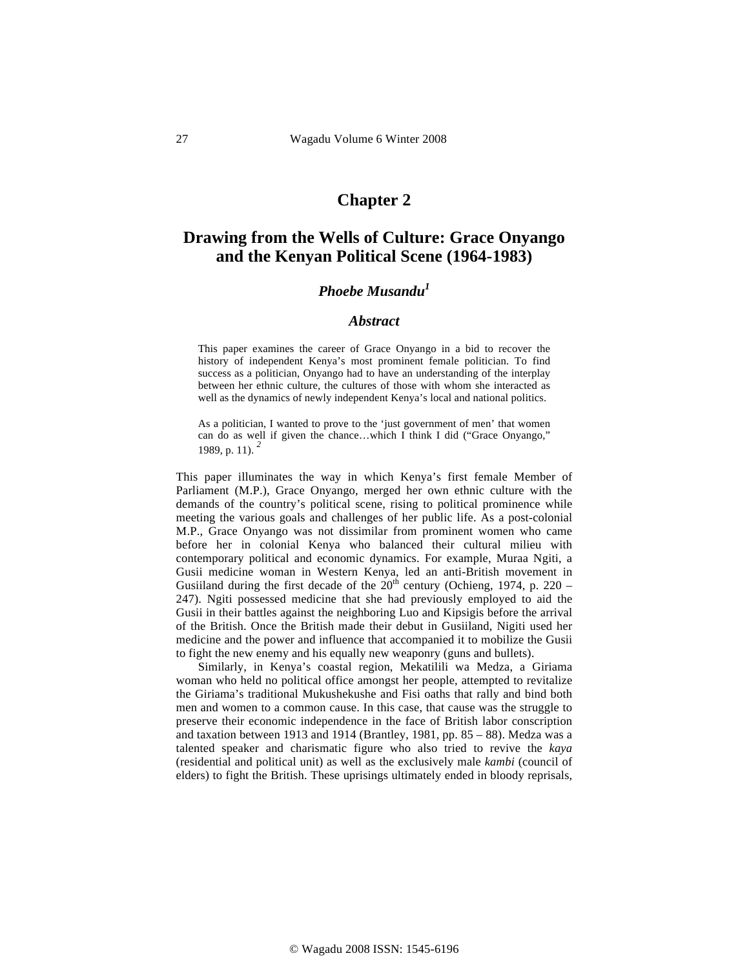## **Chapter 2**

# **Drawing from the Wells of Culture: Grace Onyango and the Kenyan Political Scene (1964-1983)**

## *Phoebe Musandu<sup>1</sup>*

#### *Abstract*

This paper examines the career of Grace Onyango in a bid to recover the history of independent Kenya's most prominent female politician. To find success as a politician, Onyango had to have an understanding of the interplay between her ethnic culture, the cultures of those with whom she interacted as well as the dynamics of newly independent Kenya's local and national politics.

As a politician, I wanted to prove to the 'just government of men' that women can do as well if given the chance…which I think I did ("Grace Onyango," 1989, p. 11). *<sup>2</sup>*

This paper illuminates the way in which Kenya's first female Member of Parliament (M.P.), Grace Onyango, merged her own ethnic culture with the demands of the country's political scene, rising to political prominence while meeting the various goals and challenges of her public life. As a post-colonial M.P., Grace Onyango was not dissimilar from prominent women who came before her in colonial Kenya who balanced their cultural milieu with contemporary political and economic dynamics. For example, Muraa Ngiti, a Gusii medicine woman in Western Kenya, led an anti-British movement in Gusiiland during the first decade of the  $20<sup>th</sup>$  century (Ochieng, 1974, p. 220 – 247). Ngiti possessed medicine that she had previously employed to aid the Gusii in their battles against the neighboring Luo and Kipsigis before the arrival of the British. Once the British made their debut in Gusiiland, Nigiti used her medicine and the power and influence that accompanied it to mobilize the Gusii to fight the new enemy and his equally new weaponry (guns and bullets).

Similarly, in Kenya's coastal region, Mekatilili wa Medza, a Giriama woman who held no political office amongst her people, attempted to revitalize the Giriama's traditional Mukushekushe and Fisi oaths that rally and bind both men and women to a common cause. In this case, that cause was the struggle to preserve their economic independence in the face of British labor conscription and taxation between 1913 and 1914 (Brantley, 1981, pp. 85 – 88). Medza was a talented speaker and charismatic figure who also tried to revive the *kaya* (residential and political unit) as well as the exclusively male *kambi* (council of elders) to fight the British. These uprisings ultimately ended in bloody reprisals,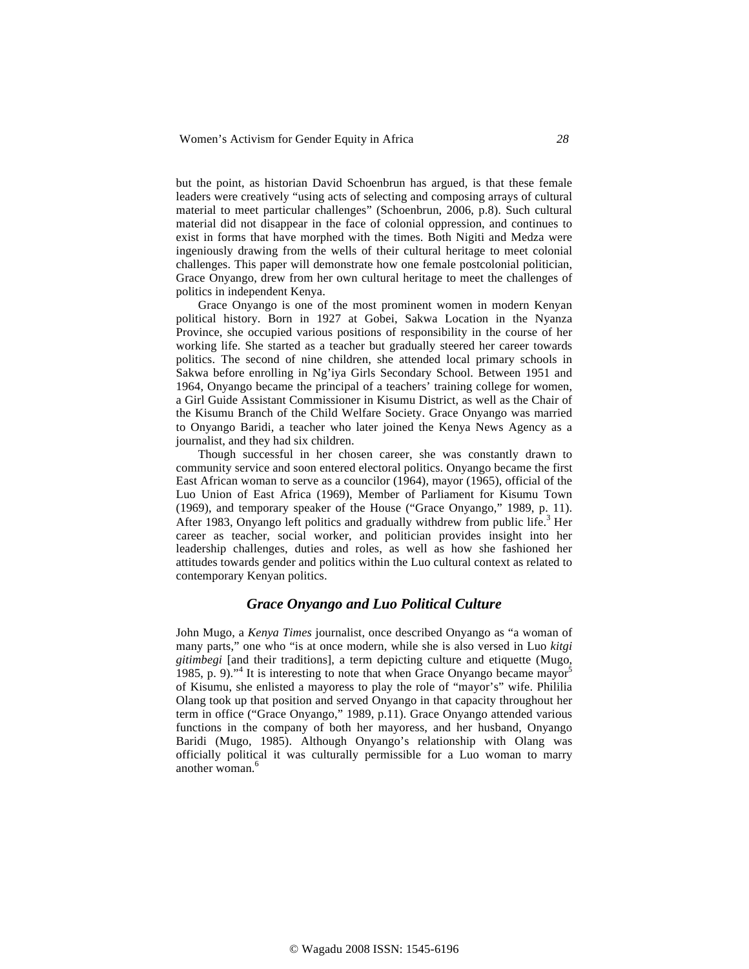but the point, as historian David Schoenbrun has argued, is that these female leaders were creatively "using acts of selecting and composing arrays of cultural material to meet particular challenges" (Schoenbrun, 2006, p.8). Such cultural material did not disappear in the face of colonial oppression, and continues to exist in forms that have morphed with the times. Both Nigiti and Medza were ingeniously drawing from the wells of their cultural heritage to meet colonial challenges. This paper will demonstrate how one female postcolonial politician, Grace Onyango, drew from her own cultural heritage to meet the challenges of politics in independent Kenya.

Grace Onyango is one of the most prominent women in modern Kenyan political history. Born in 1927 at Gobei, Sakwa Location in the Nyanza Province, she occupied various positions of responsibility in the course of her working life. She started as a teacher but gradually steered her career towards politics. The second of nine children, she attended local primary schools in Sakwa before enrolling in Ng'iya Girls Secondary School. Between 1951 and 1964, Onyango became the principal of a teachers' training college for women, a Girl Guide Assistant Commissioner in Kisumu District, as well as the Chair of the Kisumu Branch of the Child Welfare Society. Grace Onyango was married to Onyango Baridi, a teacher who later joined the Kenya News Agency as a journalist, and they had six children.

Though successful in her chosen career, she was constantly drawn to community service and soon entered electoral politics. Onyango became the first East African woman to serve as a councilor (1964), mayor (1965), official of the Luo Union of East Africa (1969), Member of Parliament for Kisumu Town (1969), and temporary speaker of the House ("Grace Onyango," 1989, p. 11). After 1983, Onyango left politics and gradually withdrew from public life.<sup>3</sup> Her career as teacher, social worker, and politician provides insight into her leadership challenges, duties and roles, as well as how she fashioned her attitudes towards gender and politics within the Luo cultural context as related to contemporary Kenyan politics.

### *Grace Onyango and Luo Political Culture*

John Mugo, a *Kenya Times* journalist, once described Onyango as "a woman of many parts," one who "is at once modern, while she is also versed in Luo *kitgi gitimbegi* [and their traditions], a term depicting culture and etiquette (Mugo, 1985, p. 9)."<sup>4</sup> It is interesting to note that when Grace Onyango became mayor<sup>5</sup> of Kisumu, she enlisted a mayoress to play the role of "mayor's" wife. Phililia Olang took up that position and served Onyango in that capacity throughout her term in office ("Grace Onyango," 1989, p.11). Grace Onyango attended various functions in the company of both her mayoress, and her husband, Onyango Baridi (Mugo, 1985). Although Onyango's relationship with Olang was officially political it was culturally permissible for a Luo woman to marry another woman.<sup>6</sup>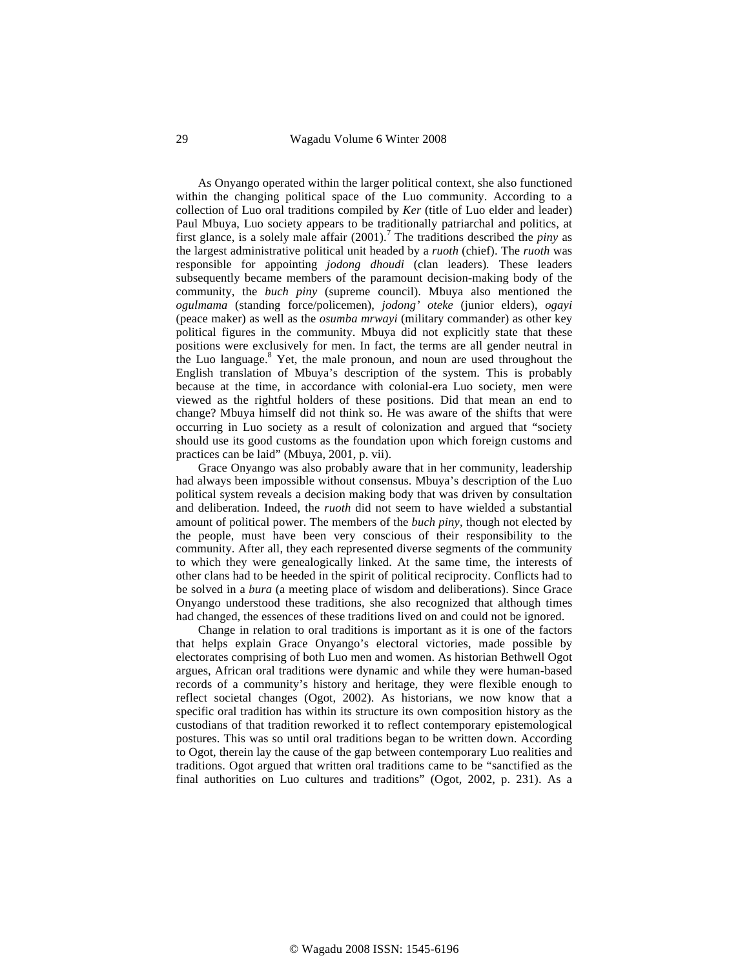29 Wagadu Volume 6 Winter 2008

As Onyango operated within the larger political context, she also functioned within the changing political space of the Luo community. According to a collection of Luo oral traditions compiled by *Ker* (title of Luo elder and leader) Paul Mbuya, Luo society appears to be traditionally patriarchal and politics, at first glance, is a solely male affair (2001).<sup>7</sup> The traditions described the *piny* as the largest administrative political unit headed by a *ruoth* (chief). The *ruoth* was responsible for appointing *jodong dhoudi* (clan leaders)*.* These leaders subsequently became members of the paramount decision-making body of the community, the *buch piny* (supreme council). Mbuya also mentioned the *ogulmama* (standing force/policemen), *jodong' oteke* (junior elders), *ogayi*  (peace maker) as well as the *osumba mrwayi* (military commander) as other key political figures in the community. Mbuya did not explicitly state that these positions were exclusively for men. In fact, the terms are all gender neutral in the Luo language.<sup>8</sup> Yet, the male pronoun, and noun are used throughout the English translation of Mbuya's description of the system. This is probably because at the time, in accordance with colonial-era Luo society, men were viewed as the rightful holders of these positions. Did that mean an end to change? Mbuya himself did not think so. He was aware of the shifts that were occurring in Luo society as a result of colonization and argued that "society should use its good customs as the foundation upon which foreign customs and practices can be laid" (Mbuya, 2001, p. vii).

Grace Onyango was also probably aware that in her community, leadership had always been impossible without consensus. Mbuya's description of the Luo political system reveals a decision making body that was driven by consultation and deliberation. Indeed, the *ruoth* did not seem to have wielded a substantial amount of political power. The members of the *buch piny,* though not elected by the people, must have been very conscious of their responsibility to the community. After all, they each represented diverse segments of the community to which they were genealogically linked. At the same time, the interests of other clans had to be heeded in the spirit of political reciprocity. Conflicts had to be solved in a *bura* (a meeting place of wisdom and deliberations). Since Grace Onyango understood these traditions, she also recognized that although times had changed, the essences of these traditions lived on and could not be ignored.

Change in relation to oral traditions is important as it is one of the factors that helps explain Grace Onyango's electoral victories, made possible by electorates comprising of both Luo men and women. As historian Bethwell Ogot argues, African oral traditions were dynamic and while they were human-based records of a community's history and heritage, they were flexible enough to reflect societal changes (Ogot, 2002). As historians, we now know that a specific oral tradition has within its structure its own composition history as the custodians of that tradition reworked it to reflect contemporary epistemological postures. This was so until oral traditions began to be written down. According to Ogot, therein lay the cause of the gap between contemporary Luo realities and traditions. Ogot argued that written oral traditions came to be "sanctified as the final authorities on Luo cultures and traditions" (Ogot, 2002, p. 231). As a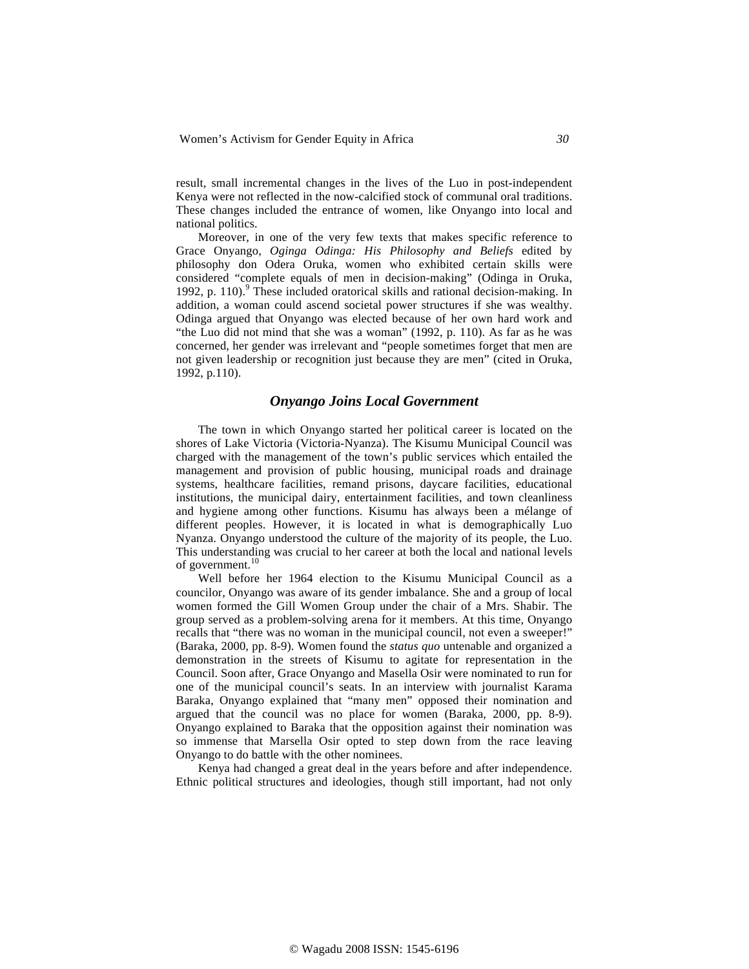result, small incremental changes in the lives of the Luo in post-independent Kenya were not reflected in the now-calcified stock of communal oral traditions. These changes included the entrance of women, like Onyango into local and national politics.

Moreover, in one of the very few texts that makes specific reference to Grace Onyango, *Oginga Odinga: His Philosophy and Beliefs* edited by philosophy don Odera Oruka, women who exhibited certain skills were considered "complete equals of men in decision-making" (Odinga in Oruka, 1992, p. 110).<sup>9</sup> These included oratorical skills and rational decision-making. In addition, a woman could ascend societal power structures if she was wealthy. Odinga argued that Onyango was elected because of her own hard work and "the Luo did not mind that she was a woman" (1992, p. 110). As far as he was concerned, her gender was irrelevant and "people sometimes forget that men are not given leadership or recognition just because they are men" (cited in Oruka, 1992, p.110).

#### *Onyango Joins Local Government*

The town in which Onyango started her political career is located on the shores of Lake Victoria (Victoria-Nyanza). The Kisumu Municipal Council was charged with the management of the town's public services which entailed the management and provision of public housing, municipal roads and drainage systems, healthcare facilities, remand prisons, daycare facilities, educational institutions, the municipal dairy, entertainment facilities, and town cleanliness and hygiene among other functions. Kisumu has always been a mélange of different peoples. However, it is located in what is demographically Luo Nyanza. Onyango understood the culture of the majority of its people, the Luo. This understanding was crucial to her career at both the local and national levels of government.<sup>10</sup>

Well before her 1964 election to the Kisumu Municipal Council as a councilor, Onyango was aware of its gender imbalance. She and a group of local women formed the Gill Women Group under the chair of a Mrs. Shabir. The group served as a problem-solving arena for it members. At this time, Onyango recalls that "there was no woman in the municipal council, not even a sweeper!" (Baraka, 2000, pp. 8-9). Women found the *status quo* untenable and organized a demonstration in the streets of Kisumu to agitate for representation in the Council. Soon after, Grace Onyango and Masella Osir were nominated to run for one of the municipal council's seats. In an interview with journalist Karama Baraka, Onyango explained that "many men" opposed their nomination and argued that the council was no place for women (Baraka, 2000, pp. 8-9). Onyango explained to Baraka that the opposition against their nomination was so immense that Marsella Osir opted to step down from the race leaving Onyango to do battle with the other nominees.

Kenya had changed a great deal in the years before and after independence. Ethnic political structures and ideologies, though still important, had not only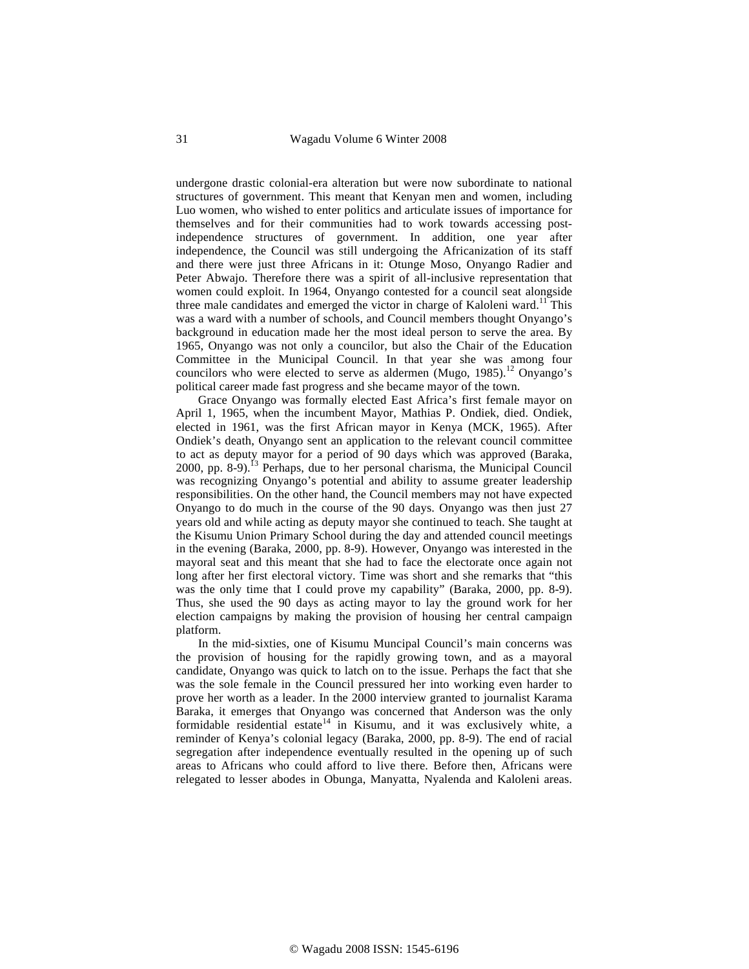undergone drastic colonial-era alteration but were now subordinate to national structures of government. This meant that Kenyan men and women, including Luo women, who wished to enter politics and articulate issues of importance for themselves and for their communities had to work towards accessing postindependence structures of government. In addition, one year after independence, the Council was still undergoing the Africanization of its staff and there were just three Africans in it: Otunge Moso, Onyango Radier and Peter Abwajo. Therefore there was a spirit of all-inclusive representation that women could exploit. In 1964, Onyango contested for a council seat alongside three male candidates and emerged the victor in charge of Kaloleni ward.<sup>11</sup> This was a ward with a number of schools, and Council members thought Onyango's background in education made her the most ideal person to serve the area. By 1965, Onyango was not only a councilor, but also the Chair of the Education Committee in the Municipal Council. In that year she was among four councilors who were elected to serve as aldermen (Mugo,  $1985$ ).<sup>12</sup> Onyango's political career made fast progress and she became mayor of the town.

Grace Onyango was formally elected East Africa's first female mayor on April 1, 1965, when the incumbent Mayor, Mathias P. Ondiek, died. Ondiek, elected in 1961, was the first African mayor in Kenya (MCK, 1965). After Ondiek's death, Onyango sent an application to the relevant council committee to act as deputy mayor for a period of 90 days which was approved (Baraka, 2000, pp. 8-9).<sup>13</sup> Perhaps, due to her personal charisma, the Municipal Council was recognizing Onyango's potential and ability to assume greater leadership responsibilities. On the other hand, the Council members may not have expected Onyango to do much in the course of the 90 days. Onyango was then just 27 years old and while acting as deputy mayor she continued to teach. She taught at the Kisumu Union Primary School during the day and attended council meetings in the evening (Baraka, 2000, pp. 8-9). However, Onyango was interested in the mayoral seat and this meant that she had to face the electorate once again not long after her first electoral victory. Time was short and she remarks that "this was the only time that I could prove my capability" (Baraka, 2000, pp. 8-9). Thus, she used the 90 days as acting mayor to lay the ground work for her election campaigns by making the provision of housing her central campaign platform.

In the mid-sixties, one of Kisumu Muncipal Council's main concerns was the provision of housing for the rapidly growing town, and as a mayoral candidate, Onyango was quick to latch on to the issue. Perhaps the fact that she was the sole female in the Council pressured her into working even harder to prove her worth as a leader. In the 2000 interview granted to journalist Karama Baraka, it emerges that Onyango was concerned that Anderson was the only formidable residential estate<sup>14</sup> in Kisumu, and it was exclusively white, a reminder of Kenya's colonial legacy (Baraka, 2000, pp. 8-9). The end of racial segregation after independence eventually resulted in the opening up of such areas to Africans who could afford to live there. Before then, Africans were relegated to lesser abodes in Obunga, Manyatta, Nyalenda and Kaloleni areas.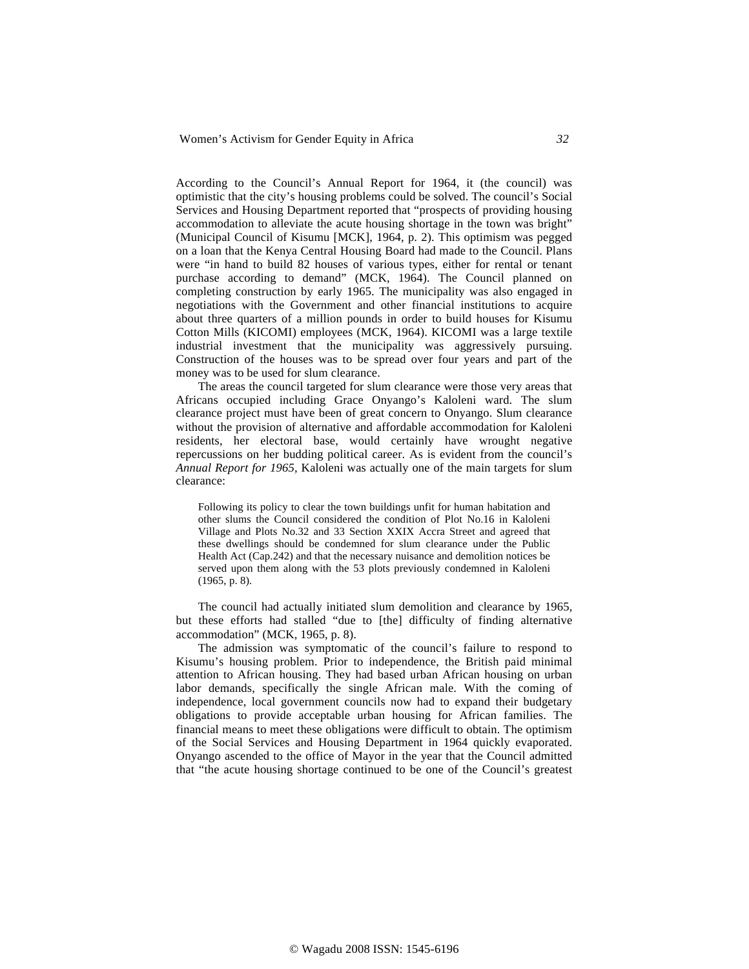According to the Council's Annual Report for 1964, it (the council) was optimistic that the city's housing problems could be solved. The council's Social Services and Housing Department reported that "prospects of providing housing accommodation to alleviate the acute housing shortage in the town was bright" (Municipal Council of Kisumu [MCK], 1964, p. 2). This optimism was pegged on a loan that the Kenya Central Housing Board had made to the Council. Plans were "in hand to build 82 houses of various types, either for rental or tenant purchase according to demand" (MCK, 1964). The Council planned on completing construction by early 1965. The municipality was also engaged in negotiations with the Government and other financial institutions to acquire about three quarters of a million pounds in order to build houses for Kisumu Cotton Mills (KICOMI) employees (MCK, 1964). KICOMI was a large textile industrial investment that the municipality was aggressively pursuing. Construction of the houses was to be spread over four years and part of the money was to be used for slum clearance.

The areas the council targeted for slum clearance were those very areas that Africans occupied including Grace Onyango's Kaloleni ward. The slum clearance project must have been of great concern to Onyango. Slum clearance without the provision of alternative and affordable accommodation for Kaloleni residents, her electoral base, would certainly have wrought negative repercussions on her budding political career. As is evident from the council's *Annual Report for 1965,* Kaloleni was actually one of the main targets for slum clearance:

Following its policy to clear the town buildings unfit for human habitation and other slums the Council considered the condition of Plot No.16 in Kaloleni Village and Plots No.32 and 33 Section XXIX Accra Street and agreed that these dwellings should be condemned for slum clearance under the Public Health Act (Cap.242) and that the necessary nuisance and demolition notices be served upon them along with the 53 plots previously condemned in Kaloleni (1965, p. 8).

The council had actually initiated slum demolition and clearance by 1965, but these efforts had stalled "due to [the] difficulty of finding alternative accommodation" (MCK, 1965, p. 8).

The admission was symptomatic of the council's failure to respond to Kisumu's housing problem. Prior to independence, the British paid minimal attention to African housing. They had based urban African housing on urban labor demands, specifically the single African male. With the coming of independence, local government councils now had to expand their budgetary obligations to provide acceptable urban housing for African families. The financial means to meet these obligations were difficult to obtain. The optimism of the Social Services and Housing Department in 1964 quickly evaporated. Onyango ascended to the office of Mayor in the year that the Council admitted that "the acute housing shortage continued to be one of the Council's greatest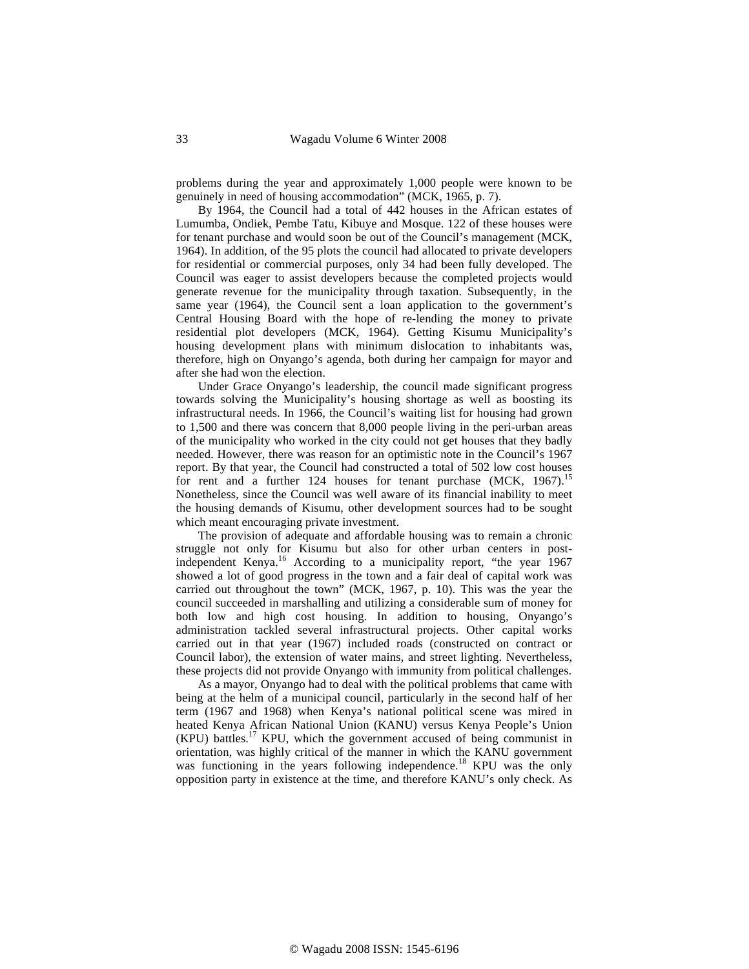problems during the year and approximately 1,000 people were known to be genuinely in need of housing accommodation" (MCK, 1965, p. 7).

By 1964, the Council had a total of 442 houses in the African estates of Lumumba, Ondiek, Pembe Tatu, Kibuye and Mosque. 122 of these houses were for tenant purchase and would soon be out of the Council's management (MCK, 1964). In addition, of the 95 plots the council had allocated to private developers for residential or commercial purposes, only 34 had been fully developed. The Council was eager to assist developers because the completed projects would generate revenue for the municipality through taxation. Subsequently, in the same year (1964), the Council sent a loan application to the government's Central Housing Board with the hope of re-lending the money to private residential plot developers (MCK, 1964). Getting Kisumu Municipality's housing development plans with minimum dislocation to inhabitants was, therefore, high on Onyango's agenda, both during her campaign for mayor and after she had won the election.

Under Grace Onyango's leadership, the council made significant progress towards solving the Municipality's housing shortage as well as boosting its infrastructural needs. In 1966, the Council's waiting list for housing had grown to 1,500 and there was concern that 8,000 people living in the peri-urban areas of the municipality who worked in the city could not get houses that they badly needed. However, there was reason for an optimistic note in the Council's 1967 report. By that year, the Council had constructed a total of 502 low cost houses for rent and a further 124 houses for tenant purchase (MCK, 1967).<sup>15</sup> Nonetheless, since the Council was well aware of its financial inability to meet the housing demands of Kisumu, other development sources had to be sought which meant encouraging private investment.

The provision of adequate and affordable housing was to remain a chronic struggle not only for Kisumu but also for other urban centers in postindependent Kenya.<sup>16</sup> According to a municipality report, "the year 1967 showed a lot of good progress in the town and a fair deal of capital work was carried out throughout the town" (MCK, 1967, p. 10). This was the year the council succeeded in marshalling and utilizing a considerable sum of money for both low and high cost housing. In addition to housing, Onyango's administration tackled several infrastructural projects. Other capital works carried out in that year (1967) included roads (constructed on contract or Council labor), the extension of water mains, and street lighting. Nevertheless, these projects did not provide Onyango with immunity from political challenges.

As a mayor, Onyango had to deal with the political problems that came with being at the helm of a municipal council, particularly in the second half of her term (1967 and 1968) when Kenya's national political scene was mired in heated Kenya African National Union (KANU) versus Kenya People's Union  $(KPU)$  battles.<sup>17</sup> KPU, which the government accused of being communist in orientation, was highly critical of the manner in which the KANU government was functioning in the years following independence.<sup>18</sup> KPU was the only opposition party in existence at the time, and therefore KANU's only check. As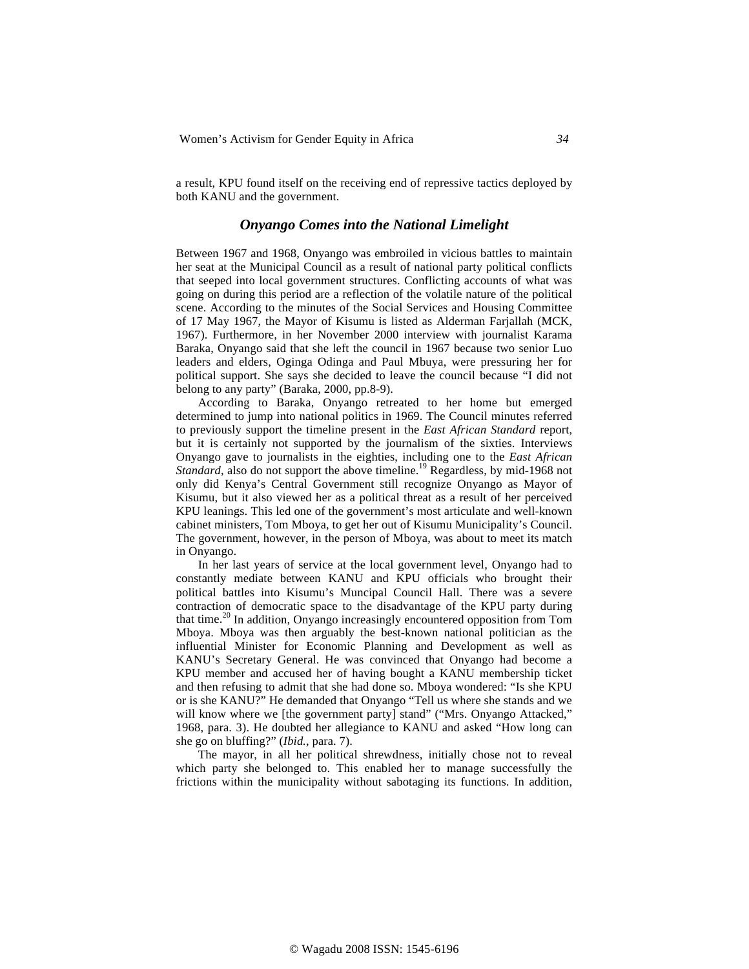a result, KPU found itself on the receiving end of repressive tactics deployed by both KANU and the government.

#### *Onyango Comes into the National Limelight*

Between 1967 and 1968, Onyango was embroiled in vicious battles to maintain her seat at the Municipal Council as a result of national party political conflicts that seeped into local government structures. Conflicting accounts of what was going on during this period are a reflection of the volatile nature of the political scene. According to the minutes of the Social Services and Housing Committee of 17 May 1967, the Mayor of Kisumu is listed as Alderman Farjallah (MCK, 1967). Furthermore, in her November 2000 interview with journalist Karama Baraka, Onyango said that she left the council in 1967 because two senior Luo leaders and elders, Oginga Odinga and Paul Mbuya, were pressuring her for political support. She says she decided to leave the council because "I did not belong to any party" (Baraka, 2000, pp.8-9).

According to Baraka, Onyango retreated to her home but emerged determined to jump into national politics in 1969. The Council minutes referred to previously support the timeline present in the *East African Standard* report, but it is certainly not supported by the journalism of the sixties. Interviews Onyango gave to journalists in the eighties, including one to the *East African Standard*, also do not support the above timeline.<sup>19</sup> Regardless, by mid-1968 not only did Kenya's Central Government still recognize Onyango as Mayor of Kisumu, but it also viewed her as a political threat as a result of her perceived KPU leanings. This led one of the government's most articulate and well-known cabinet ministers, Tom Mboya, to get her out of Kisumu Municipality's Council. The government, however, in the person of Mboya, was about to meet its match in Onyango.

In her last years of service at the local government level, Onyango had to constantly mediate between KANU and KPU officials who brought their political battles into Kisumu's Muncipal Council Hall. There was a severe contraction of democratic space to the disadvantage of the KPU party during that time.20 In addition, Onyango increasingly encountered opposition from Tom Mboya. Mboya was then arguably the best-known national politician as the influential Minister for Economic Planning and Development as well as KANU's Secretary General. He was convinced that Onyango had become a KPU member and accused her of having bought a KANU membership ticket and then refusing to admit that she had done so. Mboya wondered: "Is she KPU or is she KANU?" He demanded that Onyango "Tell us where she stands and we will know where we [the government party] stand" ("Mrs. Onyango Attacked," 1968, para. 3). He doubted her allegiance to KANU and asked "How long can she go on bluffing?" (*Ibid.*, para. 7).

The mayor, in all her political shrewdness, initially chose not to reveal which party she belonged to. This enabled her to manage successfully the frictions within the municipality without sabotaging its functions. In addition,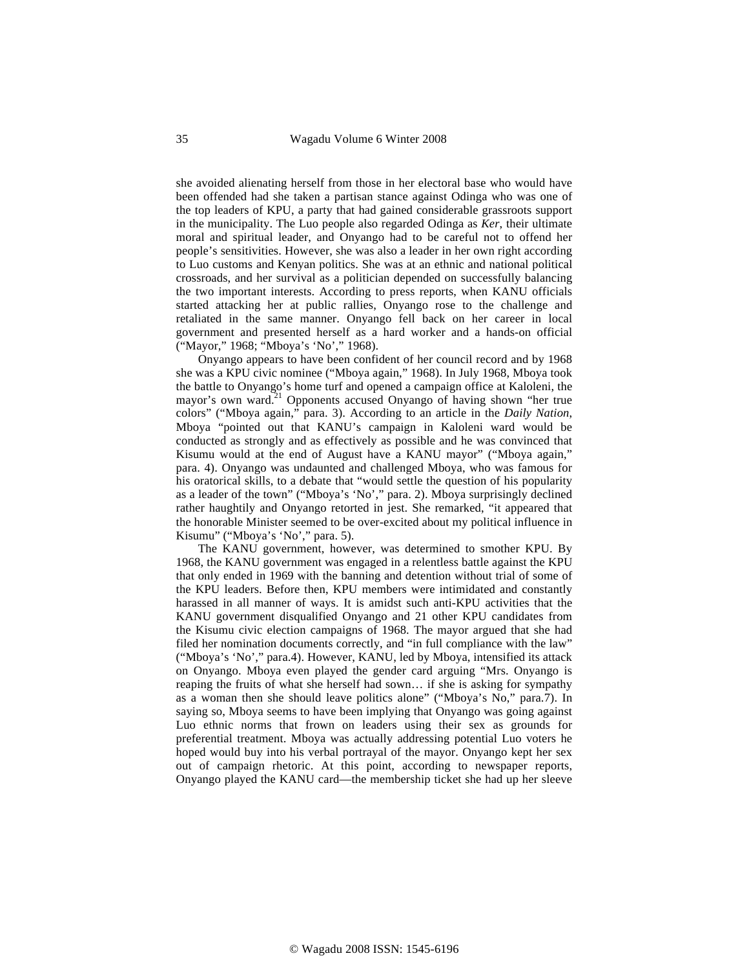she avoided alienating herself from those in her electoral base who would have been offended had she taken a partisan stance against Odinga who was one of the top leaders of KPU, a party that had gained considerable grassroots support in the municipality. The Luo people also regarded Odinga as *Ker*, their ultimate moral and spiritual leader, and Onyango had to be careful not to offend her people's sensitivities. However, she was also a leader in her own right according to Luo customs and Kenyan politics. She was at an ethnic and national political crossroads, and her survival as a politician depended on successfully balancing the two important interests. According to press reports, when KANU officials started attacking her at public rallies, Onyango rose to the challenge and retaliated in the same manner. Onyango fell back on her career in local government and presented herself as a hard worker and a hands-on official ("Mayor," 1968; "Mboya's 'No'," 1968).

Onyango appears to have been confident of her council record and by 1968 she was a KPU civic nominee ("Mboya again," 1968). In July 1968, Mboya took the battle to Onyango's home turf and opened a campaign office at Kaloleni, the mayor's own ward.<sup>21</sup> Opponents accused Onyango of having shown "her true colors" ("Mboya again," para. 3). According to an article in the *Daily Nation*, Mboya "pointed out that KANU's campaign in Kaloleni ward would be conducted as strongly and as effectively as possible and he was convinced that Kisumu would at the end of August have a KANU mayor" ("Mboya again," para. 4). Onyango was undaunted and challenged Mboya, who was famous for his oratorical skills, to a debate that "would settle the question of his popularity as a leader of the town" ("Mboya's 'No'," para. 2). Mboya surprisingly declined rather haughtily and Onyango retorted in jest. She remarked, "it appeared that the honorable Minister seemed to be over-excited about my political influence in Kisumu" ("Mboya's 'No'," para. 5).

The KANU government, however, was determined to smother KPU. By 1968, the KANU government was engaged in a relentless battle against the KPU that only ended in 1969 with the banning and detention without trial of some of the KPU leaders. Before then, KPU members were intimidated and constantly harassed in all manner of ways. It is amidst such anti-KPU activities that the KANU government disqualified Onyango and 21 other KPU candidates from the Kisumu civic election campaigns of 1968. The mayor argued that she had filed her nomination documents correctly, and "in full compliance with the law" ("Mboya's 'No'," para.4). However, KANU, led by Mboya, intensified its attack on Onyango. Mboya even played the gender card arguing "Mrs. Onyango is reaping the fruits of what she herself had sown… if she is asking for sympathy as a woman then she should leave politics alone" ("Mboya's No," para.7). In saying so, Mboya seems to have been implying that Onyango was going against Luo ethnic norms that frown on leaders using their sex as grounds for preferential treatment. Mboya was actually addressing potential Luo voters he hoped would buy into his verbal portrayal of the mayor. Onyango kept her sex out of campaign rhetoric. At this point, according to newspaper reports, Onyango played the KANU card—the membership ticket she had up her sleeve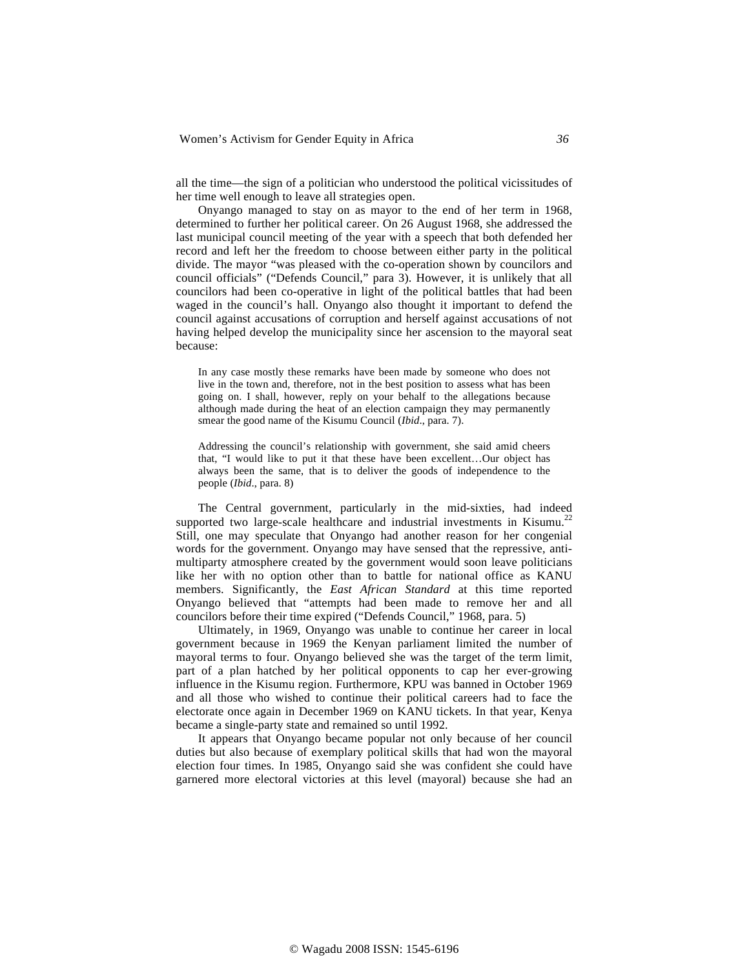all the time—the sign of a politician who understood the political vicissitudes of her time well enough to leave all strategies open.

Onyango managed to stay on as mayor to the end of her term in 1968, determined to further her political career. On 26 August 1968, she addressed the last municipal council meeting of the year with a speech that both defended her record and left her the freedom to choose between either party in the political divide. The mayor "was pleased with the co-operation shown by councilors and council officials" ("Defends Council," para 3). However, it is unlikely that all councilors had been co-operative in light of the political battles that had been waged in the council's hall. Onyango also thought it important to defend the council against accusations of corruption and herself against accusations of not having helped develop the municipality since her ascension to the mayoral seat because:

In any case mostly these remarks have been made by someone who does not live in the town and, therefore, not in the best position to assess what has been going on. I shall, however, reply on your behalf to the allegations because although made during the heat of an election campaign they may permanently smear the good name of the Kisumu Council (*Ibid*., para. 7).

Addressing the council's relationship with government, she said amid cheers that, "I would like to put it that these have been excellent…Our object has always been the same, that is to deliver the goods of independence to the people (*Ibid*., para. 8)

The Central government, particularly in the mid-sixties, had indeed supported two large-scale healthcare and industrial investments in Kisumu.<sup>22</sup> Still, one may speculate that Onyango had another reason for her congenial words for the government. Onyango may have sensed that the repressive, antimultiparty atmosphere created by the government would soon leave politicians like her with no option other than to battle for national office as KANU members. Significantly, the *East African Standard* at this time reported Onyango believed that "attempts had been made to remove her and all councilors before their time expired ("Defends Council," 1968, para. 5)

Ultimately, in 1969, Onyango was unable to continue her career in local government because in 1969 the Kenyan parliament limited the number of mayoral terms to four. Onyango believed she was the target of the term limit, part of a plan hatched by her political opponents to cap her ever-growing influence in the Kisumu region. Furthermore, KPU was banned in October 1969 and all those who wished to continue their political careers had to face the electorate once again in December 1969 on KANU tickets. In that year, Kenya became a single-party state and remained so until 1992.

It appears that Onyango became popular not only because of her council duties but also because of exemplary political skills that had won the mayoral election four times. In 1985, Onyango said she was confident she could have garnered more electoral victories at this level (mayoral) because she had an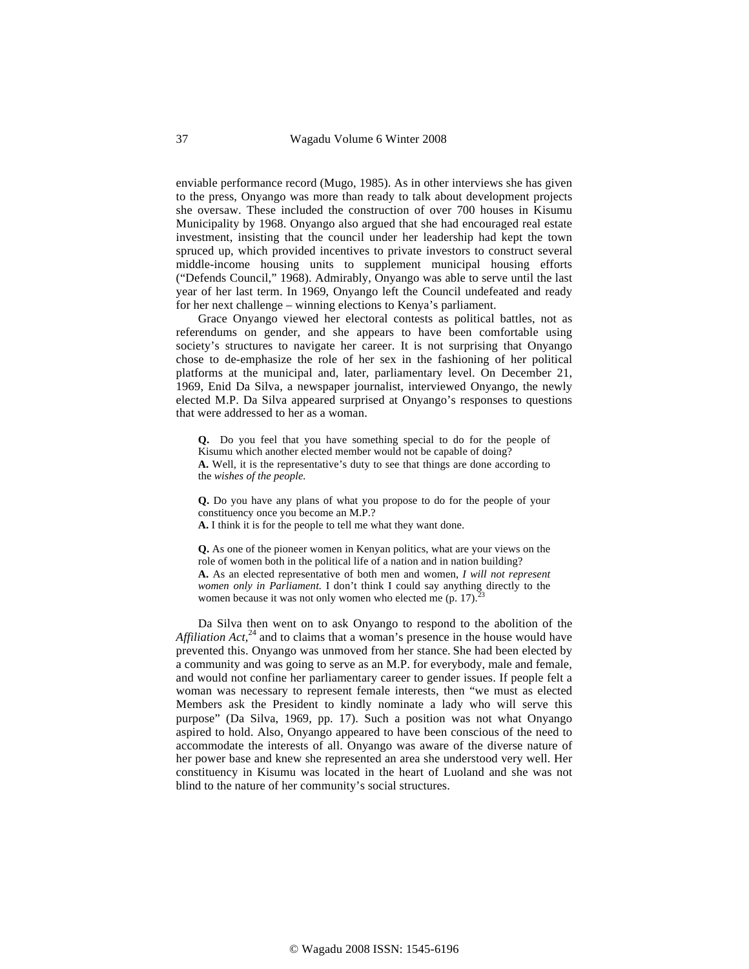enviable performance record (Mugo, 1985). As in other interviews she has given to the press, Onyango was more than ready to talk about development projects she oversaw. These included the construction of over 700 houses in Kisumu Municipality by 1968. Onyango also argued that she had encouraged real estate investment, insisting that the council under her leadership had kept the town spruced up, which provided incentives to private investors to construct several middle-income housing units to supplement municipal housing efforts ("Defends Council," 1968). Admirably, Onyango was able to serve until the last year of her last term. In 1969, Onyango left the Council undefeated and ready for her next challenge – winning elections to Kenya's parliament.

Grace Onyango viewed her electoral contests as political battles, not as referendums on gender, and she appears to have been comfortable using society's structures to navigate her career. It is not surprising that Onyango chose to de-emphasize the role of her sex in the fashioning of her political platforms at the municipal and, later, parliamentary level. On December 21, 1969, Enid Da Silva, a newspaper journalist, interviewed Onyango, the newly elected M.P. Da Silva appeared surprised at Onyango's responses to questions that were addressed to her as a woman.

**Q.** Do you feel that you have something special to do for the people of Kisumu which another elected member would not be capable of doing? **A.** Well, it is the representative's duty to see that things are done according to the *wishes of the people.* 

**Q.** Do you have any plans of what you propose to do for the people of your constituency once you become an M.P.?

**A.** I think it is for the people to tell me what they want done.

**Q.** As one of the pioneer women in Kenyan politics, what are your views on the role of women both in the political life of a nation and in nation building? **A.** As an elected representative of both men and women, *I will not represent women only in Parliament.* I don't think I could say anything directly to the women because it was not only women who elected me  $(p. 17)$ .

Da Silva then went on to ask Onyango to respond to the abolition of the *Affiliation Act*,<sup>24</sup> and to claims that a woman's presence in the house would have prevented this. Onyango was unmoved from her stance. She had been elected by a community and was going to serve as an M.P. for everybody, male and female, and would not confine her parliamentary career to gender issues. If people felt a woman was necessary to represent female interests, then "we must as elected Members ask the President to kindly nominate a lady who will serve this purpose" (Da Silva, 1969, pp. 17). Such a position was not what Onyango aspired to hold. Also, Onyango appeared to have been conscious of the need to accommodate the interests of all. Onyango was aware of the diverse nature of her power base and knew she represented an area she understood very well. Her constituency in Kisumu was located in the heart of Luoland and she was not blind to the nature of her community's social structures.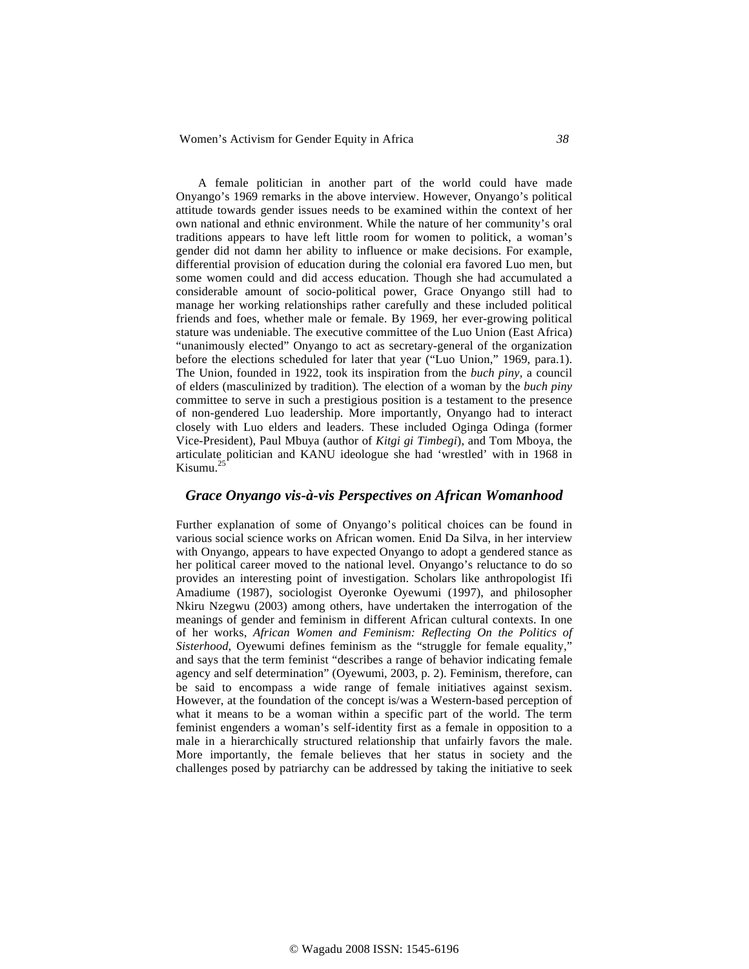Women's Activism for Gender Equity in Africa *38*

A female politician in another part of the world could have made Onyango's 1969 remarks in the above interview. However, Onyango's political attitude towards gender issues needs to be examined within the context of her own national and ethnic environment. While the nature of her community's oral traditions appears to have left little room for women to politick, a woman's gender did not damn her ability to influence or make decisions. For example, differential provision of education during the colonial era favored Luo men, but some women could and did access education. Though she had accumulated a considerable amount of socio-political power, Grace Onyango still had to manage her working relationships rather carefully and these included political friends and foes, whether male or female. By 1969, her ever-growing political stature was undeniable. The executive committee of the Luo Union (East Africa) "unanimously elected" Onyango to act as secretary-general of the organization before the elections scheduled for later that year ("Luo Union," 1969, para.1). The Union, founded in 1922, took its inspiration from the *buch piny,* a council of elders (masculinized by tradition)*.* The election of a woman by the *buch piny* committee to serve in such a prestigious position is a testament to the presence of non-gendered Luo leadership. More importantly, Onyango had to interact closely with Luo elders and leaders. These included Oginga Odinga (former Vice-President), Paul Mbuya (author of *Kitgi gi Timbegi*), and Tom Mboya, the articulate politician and KANU ideologue she had 'wrestled' with in 1968 in Kisumu.<sup>25</sup>

#### *Grace Onyango vis-à-vis Perspectives on African Womanhood*

Further explanation of some of Onyango's political choices can be found in various social science works on African women. Enid Da Silva, in her interview with Onyango, appears to have expected Onyango to adopt a gendered stance as her political career moved to the national level. Onyango's reluctance to do so provides an interesting point of investigation. Scholars like anthropologist Ifi Amadiume (1987), sociologist Oyeronke Oyewumi (1997), and philosopher Nkiru Nzegwu (2003) among others, have undertaken the interrogation of the meanings of gender and feminism in different African cultural contexts. In one of her works, *African Women and Feminism: Reflecting On the Politics of Sisterhood*, Oyewumi defines feminism as the "struggle for female equality," and says that the term feminist "describes a range of behavior indicating female agency and self determination" (Oyewumi, 2003, p. 2). Feminism, therefore, can be said to encompass a wide range of female initiatives against sexism. However, at the foundation of the concept is/was a Western-based perception of what it means to be a woman within a specific part of the world. The term feminist engenders a woman's self-identity first as a female in opposition to a male in a hierarchically structured relationship that unfairly favors the male. More importantly, the female believes that her status in society and the challenges posed by patriarchy can be addressed by taking the initiative to seek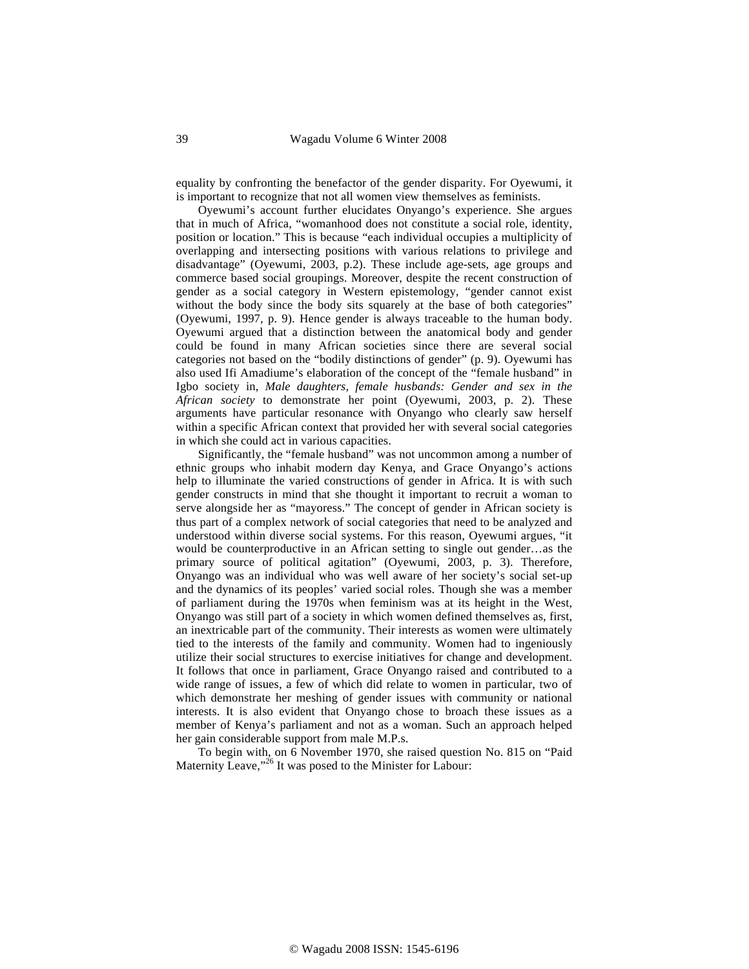equality by confronting the benefactor of the gender disparity. For Oyewumi, it is important to recognize that not all women view themselves as feminists.

Oyewumi's account further elucidates Onyango's experience. She argues that in much of Africa, "womanhood does not constitute a social role, identity, position or location." This is because "each individual occupies a multiplicity of overlapping and intersecting positions with various relations to privilege and disadvantage" (Oyewumi, 2003, p.2). These include age-sets, age groups and commerce based social groupings. Moreover, despite the recent construction of gender as a social category in Western epistemology, "gender cannot exist without the body since the body sits squarely at the base of both categories" (Oyewumi, 1997, p. 9). Hence gender is always traceable to the human body. Oyewumi argued that a distinction between the anatomical body and gender could be found in many African societies since there are several social categories not based on the "bodily distinctions of gender" (p. 9). Oyewumi has also used Ifi Amadiume's elaboration of the concept of the "female husband" in Igbo society in, *Male daughters, female husbands: Gender and sex in the African society* to demonstrate her point (Oyewumi, 2003, p. 2). These arguments have particular resonance with Onyango who clearly saw herself within a specific African context that provided her with several social categories in which she could act in various capacities.

Significantly, the "female husband" was not uncommon among a number of ethnic groups who inhabit modern day Kenya, and Grace Onyango's actions help to illuminate the varied constructions of gender in Africa. It is with such gender constructs in mind that she thought it important to recruit a woman to serve alongside her as "mayoress." The concept of gender in African society is thus part of a complex network of social categories that need to be analyzed and understood within diverse social systems. For this reason, Oyewumi argues, "it would be counterproductive in an African setting to single out gender…as the primary source of political agitation" (Oyewumi, 2003, p. 3). Therefore, Onyango was an individual who was well aware of her society's social set-up and the dynamics of its peoples' varied social roles. Though she was a member of parliament during the 1970s when feminism was at its height in the West, Onyango was still part of a society in which women defined themselves as, first, an inextricable part of the community. Their interests as women were ultimately tied to the interests of the family and community. Women had to ingeniously utilize their social structures to exercise initiatives for change and development. It follows that once in parliament, Grace Onyango raised and contributed to a wide range of issues, a few of which did relate to women in particular, two of which demonstrate her meshing of gender issues with community or national interests. It is also evident that Onyango chose to broach these issues as a member of Kenya's parliament and not as a woman. Such an approach helped her gain considerable support from male M.P.s.

To begin with, on 6 November 1970, she raised question No. 815 on "Paid Maternity Leave,"<sup>26</sup> It was posed to the Minister for Labour: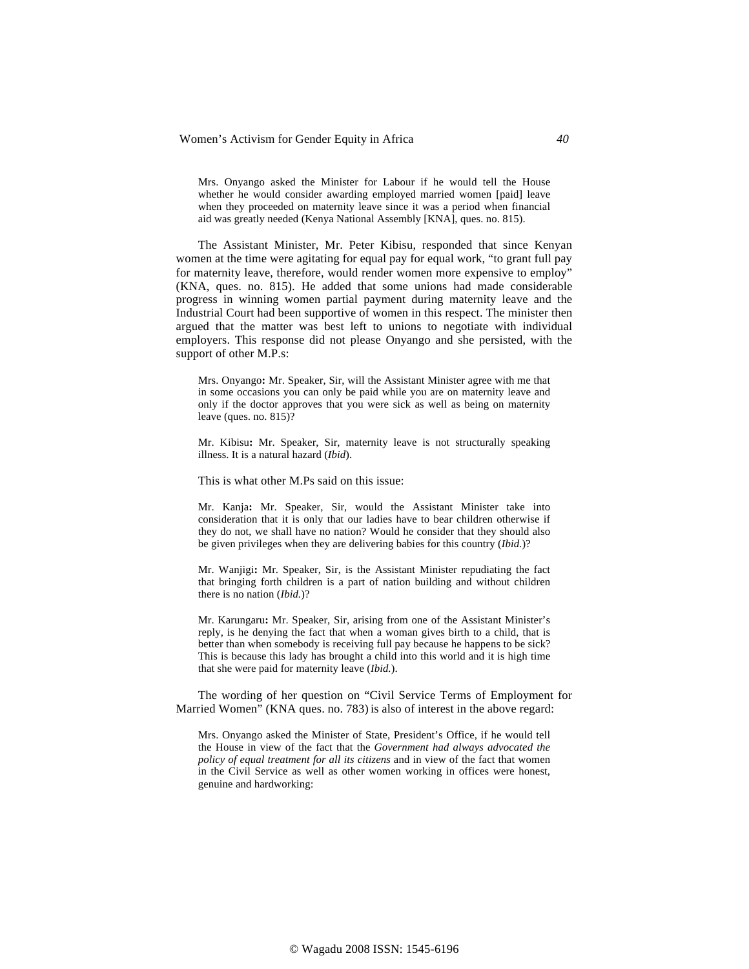Mrs. Onyango asked the Minister for Labour if he would tell the House whether he would consider awarding employed married women [paid] leave when they proceeded on maternity leave since it was a period when financial aid was greatly needed (Kenya National Assembly [KNA], ques. no. 815).

The Assistant Minister, Mr. Peter Kibisu, responded that since Kenyan women at the time were agitating for equal pay for equal work, "to grant full pay for maternity leave, therefore, would render women more expensive to employ" (KNA, ques. no. 815). He added that some unions had made considerable progress in winning women partial payment during maternity leave and the Industrial Court had been supportive of women in this respect. The minister then argued that the matter was best left to unions to negotiate with individual employers. This response did not please Onyango and she persisted, with the support of other M.P.s:

Mrs. Onyango**:** Mr. Speaker, Sir, will the Assistant Minister agree with me that in some occasions you can only be paid while you are on maternity leave and only if the doctor approves that you were sick as well as being on maternity leave (ques. no. 815)?

Mr. Kibisu**:** Mr. Speaker, Sir, maternity leave is not structurally speaking illness. It is a natural hazard (*Ibid*).

This is what other M.Ps said on this issue:

Mr. Kanja**:** Mr. Speaker, Sir, would the Assistant Minister take into consideration that it is only that our ladies have to bear children otherwise if they do not, we shall have no nation? Would he consider that they should also be given privileges when they are delivering babies for this country (*Ibid.*)?

Mr. Wanjigi**:** Mr. Speaker, Sir, is the Assistant Minister repudiating the fact that bringing forth children is a part of nation building and without children there is no nation (*Ibid.*)?

Mr. Karungaru**:** Mr. Speaker, Sir, arising from one of the Assistant Minister's reply, is he denying the fact that when a woman gives birth to a child, that is better than when somebody is receiving full pay because he happens to be sick? This is because this lady has brought a child into this world and it is high time that she were paid for maternity leave (*Ibid.*).

The wording of her question on "Civil Service Terms of Employment for Married Women" (KNA ques. no. 783) is also of interest in the above regard:

Mrs. Onyango asked the Minister of State, President's Office, if he would tell the House in view of the fact that the *Government had always advocated the policy of equal treatment for all its citizens* and in view of the fact that women in the Civil Service as well as other women working in offices were honest, genuine and hardworking: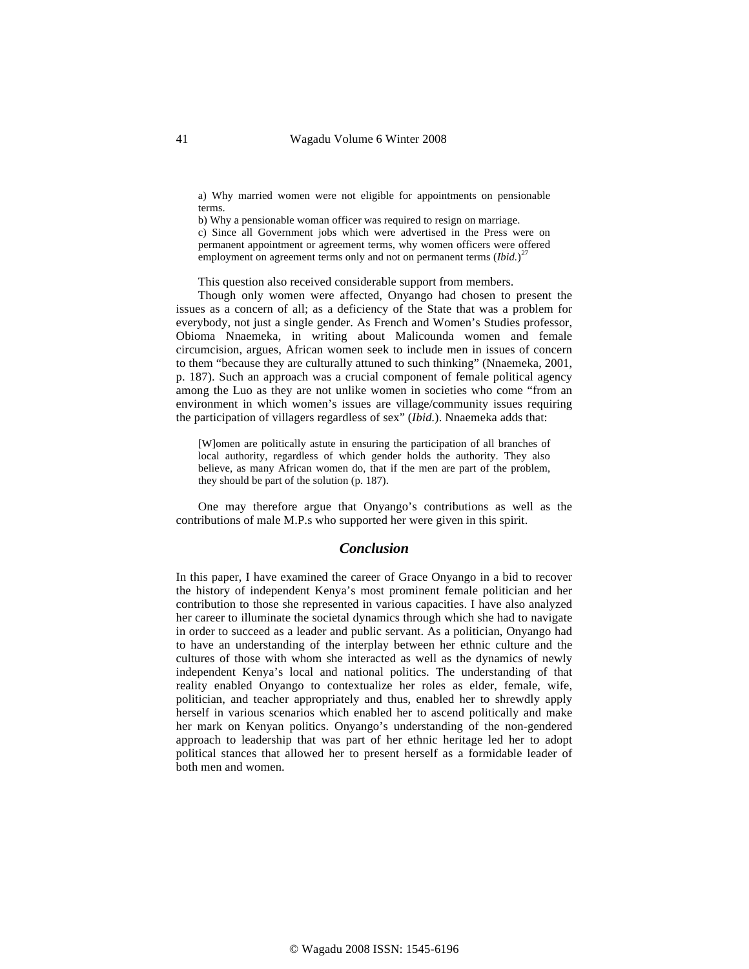a) Why married women were not eligible for appointments on pensionable terms.

b) Why a pensionable woman officer was required to resign on marriage. c) Since all Government jobs which were advertised in the Press were on permanent appointment or agreement terms, why women officers were offered employment on agreement terms only and not on permanent terms  $(Ibid.)^{27}$ 

This question also received considerable support from members.

Though only women were affected, Onyango had chosen to present the issues as a concern of all; as a deficiency of the State that was a problem for everybody, not just a single gender. As French and Women's Studies professor, Obioma Nnaemeka, in writing about Malicounda women and female circumcision, argues, African women seek to include men in issues of concern to them "because they are culturally attuned to such thinking" (Nnaemeka, 2001, p. 187). Such an approach was a crucial component of female political agency among the Luo as they are not unlike women in societies who come "from an environment in which women's issues are village/community issues requiring the participation of villagers regardless of sex" (*Ibid.*). Nnaemeka adds that:

[W]omen are politically astute in ensuring the participation of all branches of local authority, regardless of which gender holds the authority. They also believe, as many African women do, that if the men are part of the problem, they should be part of the solution (p. 187).

One may therefore argue that Onyango's contributions as well as the contributions of male M.P.s who supported her were given in this spirit.

#### *Conclusion*

In this paper, I have examined the career of Grace Onyango in a bid to recover the history of independent Kenya's most prominent female politician and her contribution to those she represented in various capacities. I have also analyzed her career to illuminate the societal dynamics through which she had to navigate in order to succeed as a leader and public servant. As a politician, Onyango had to have an understanding of the interplay between her ethnic culture and the cultures of those with whom she interacted as well as the dynamics of newly independent Kenya's local and national politics. The understanding of that reality enabled Onyango to contextualize her roles as elder, female, wife, politician, and teacher appropriately and thus, enabled her to shrewdly apply herself in various scenarios which enabled her to ascend politically and make her mark on Kenyan politics. Onyango's understanding of the non-gendered approach to leadership that was part of her ethnic heritage led her to adopt political stances that allowed her to present herself as a formidable leader of both men and women.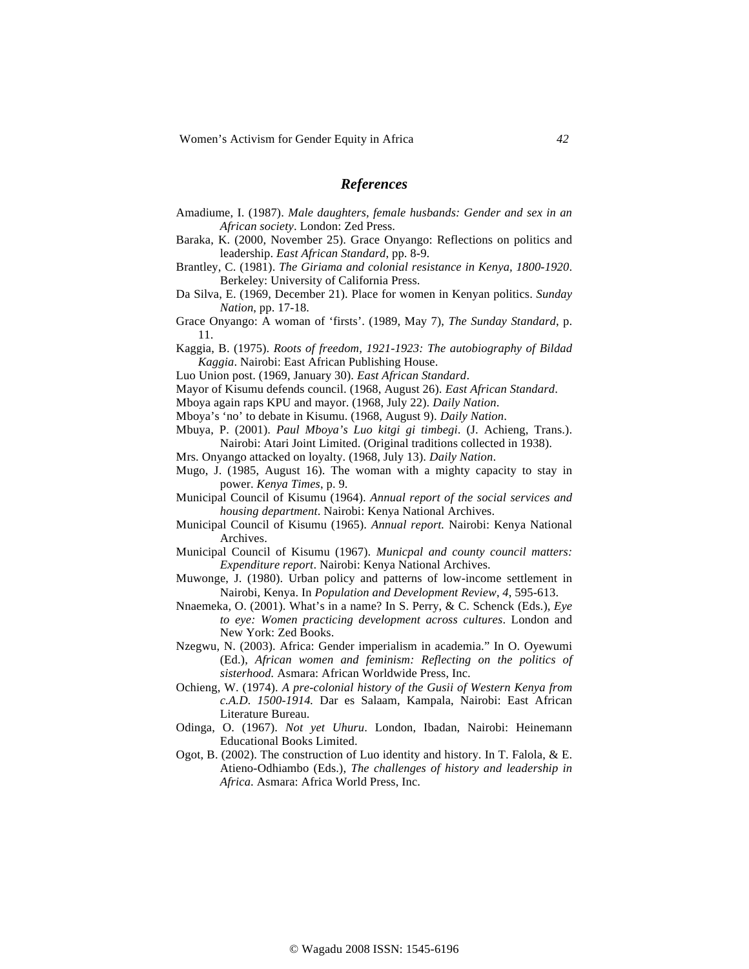#### *References*

- Amadiume, I. (1987). *Male daughters, female husbands: Gender and sex in an African society*. London: Zed Press.
- Baraka, K. (2000, November 25). Grace Onyango: Reflections on politics and leadership. *East African Standard*, pp. 8-9.
- Brantley, C. (1981). *The Giriama and colonial resistance in Kenya, 1800-1920*. Berkeley: University of California Press.
- Da Silva, E. (1969, December 21). Place for women in Kenyan politics. *Sunday Nation*, pp. 17-18.
- Grace Onyango: A woman of 'firsts'. (1989, May 7), *The Sunday Standard*, p. 11.
- Kaggia, B. (1975). *Roots of freedom, 1921-1923: The autobiography of Bildad Kaggia*. Nairobi: East African Publishing House.
- Luo Union post. (1969, January 30). *East African Standard*.
- Mayor of Kisumu defends council. (1968, August 26). *East African Standard*.
- Mboya again raps KPU and mayor. (1968, July 22). *Daily Nation*.
- Mboya's 'no' to debate in Kisumu. (1968, August 9). *Daily Nation*.
- Mbuya, P. (2001). *Paul Mboya's Luo kitgi gi timbegi*. (J. Achieng, Trans.). Nairobi: Atari Joint Limited. (Original traditions collected in 1938).
- Mrs. Onyango attacked on loyalty. (1968, July 13). *Daily Nation*.
- Mugo, J. (1985, August 16). The woman with a mighty capacity to stay in power. *Kenya Times*, p. 9.
- Municipal Council of Kisumu (1964). *Annual report of the social services and housing department*. Nairobi: Kenya National Archives.
- Municipal Council of Kisumu (1965). *Annual report.* Nairobi: Kenya National Archives.
- Municipal Council of Kisumu (1967). *Municpal and county council matters: Expenditure report*. Nairobi: Kenya National Archives.
- Muwonge, J. (1980). Urban policy and patterns of low-income settlement in Nairobi, Kenya. In *Population and Development Review*, *4*, 595-613.
- Nnaemeka, O. (2001). What's in a name? In S. Perry, & C. Schenck (Eds.), *Eye to eye: Women practicing development across cultures*. London and New York: Zed Books.
- Nzegwu, N. (2003). Africa: Gender imperialism in academia." In O. Oyewumi (Ed.), *African women and feminism: Reflecting on the politics of sisterhood.* Asmara: African Worldwide Press, Inc.
- Ochieng, W. (1974). *A pre-colonial history of the Gusii of Western Kenya from c.A.D. 1500-1914.* Dar es Salaam, Kampala, Nairobi: East African Literature Bureau.
- Odinga, O. (1967). *Not yet Uhuru*. London, Ibadan, Nairobi: Heinemann Educational Books Limited.
- Ogot, B. (2002). The construction of Luo identity and history. In T. Falola,  $\&$  E. Atieno-Odhiambo (Eds.), *The challenges of history and leadership in Africa*. Asmara: Africa World Press, Inc.